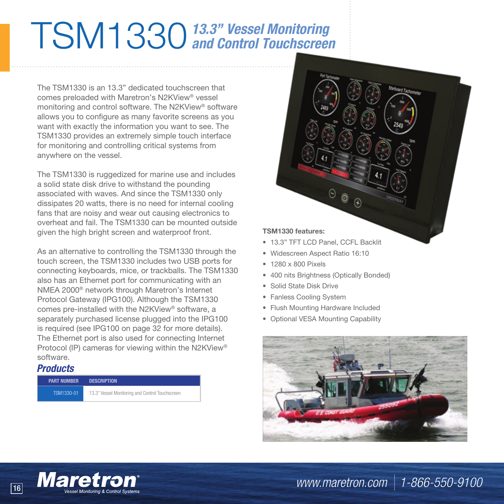## TSM1330*13.3" Vessel Monitoring and Control Touchscreen*

The TSM1330 is an 13.3" dedicated touchscreen that comes preloaded with Maretron's N2KView® vessel monitoring and control software. The N2KView® software allows you to configure as many favorite screens as you want with exactly the information you want to see. The TSM1330 provides an extremely simple touch interface for monitoring and controlling critical systems from anywhere on the vessel.

The TSM1330 is ruggedized for marine use and includes a solid state disk drive to withstand the pounding associated with waves. And since the TSM1330 only dissipates 20 watts, there is no need for internal cooling fans that are noisy and wear out causing electronics to overheat and fail. The TSM1330 can be mounted outside given the high bright screen and waterproof front.

As an alternative to controlling the TSM1330 through the touch screen, the TSM1330 includes two USB ports for connecting keyboards, mice, or trackballs. The TSM1330 also has an Ethernet port for communicating with an NMEA 2000® network through Maretron's Internet Protocol Gateway (IPG100). Although the TSM1330 comes pre-installed with the N2KView® software, a separately purchased license plugged into the IPG100 is required (see IPG100 on page 32 for more details). The Ethernet port is also used for connecting Internet Protocol (IP) cameras for viewing within the N2KView® software.

## *Products*

| <b>PART NUMBER</b> | <b>DESCRIPTION</b>                              |
|--------------------|-------------------------------------------------|
| TSM1330-01         | 13.3" Vessel Monitoring and Control Touchscreen |



• 13.3" TFT LCD Panel, CCFL Backlit

0  $\mathbb{R}$ 

- Widescreen Aspect Ratio 16:10
- 1280 x 800 Pixels
- 400 nits Brightness (Optically Bonded)
- Solid State Disk Drive
- Fanless Cooling System
- Flush Mounting Hardware Included
- Optional VESA Mounting Capability